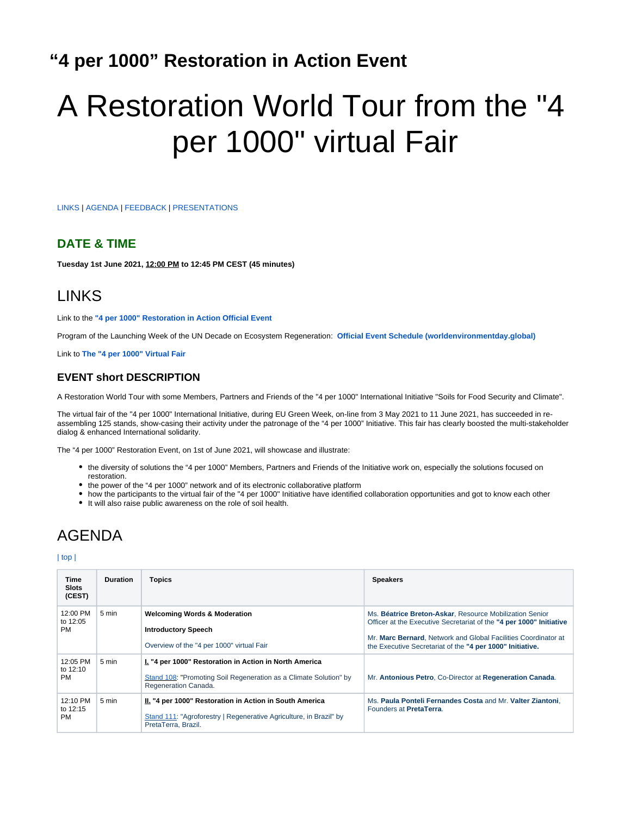# <span id="page-0-2"></span>**"4 per 1000" Restoration in Action Event**

# A Restoration World Tour from the "4 per 1000" virtual Fair

[LINKS](#page-0-0) | [AGENDA](#page-0-1) | [FEEDBACK](#page-1-0) | [PRESENTATIONS](#page-1-1)

#### **DATE & TIME**

**Tuesday 1st June 2021, 12:00 PM to 12:45 PM CEST (45 minutes)**

## <span id="page-0-0"></span>LINKS

Link to the **["4 per 1000" Restoration in Action Official Event](https://tockify.com/wed2021/detail/11/1622541600000)**

Program of the Launching Week of the UN Decade on Ecosystem Regeneration: **[Official Event Schedule \(worldenvironmentday.global\)](https://www.worldenvironmentday.global/latest/official-event-schedule)**

Link to **[The "4 per 1000" Virtual Fair](https://wiki.afris.org/display/4EGW21/Fair)**

#### **EVENT short DESCRIPTION**

A Restoration World Tour with some Members, Partners and Friends of the "4 per 1000" International Initiative "Soils for Food Security and Climate".

The virtual fair of the "4 per 1000" International Initiative, during EU Green Week, on-line from 3 May 2021 to 11 June 2021, has succeeded in reassembling 125 stands, show-casing their activity under the patronage of the "4 per 1000" Initiative. This fair has clearly boosted the multi-stakeholder dialog & enhanced International solidarity.

The "4 per 1000" Restoration Event, on 1st of June 2021, will showcase and illustrate:

- the diversity of solutions the "4 per 1000" Members, Partners and Friends of the Initiative work on, especially the solutions focused on restoration.
- the power of the "4 per 1000" network and of its electronic collaborative platform
- how the participants to the virtual fair of the "4 per 1000" Initiative have identified collaboration opportunities and got to know each other
- It will also raise public awareness on the role of soil health.

## <span id="page-0-1"></span>AGENDA

[| top |](#page-0-2)

| Time<br><b>Slots</b><br>(CEST) | <b>Duration</b> | Topics                                                                                                                                               | <b>Speakers</b>                                                                                                                                                                                                                                               |
|--------------------------------|-----------------|------------------------------------------------------------------------------------------------------------------------------------------------------|---------------------------------------------------------------------------------------------------------------------------------------------------------------------------------------------------------------------------------------------------------------|
| 12:00 PM<br>to 12:05<br>PM     | 5 min           | <b>Welcoming Words &amp; Moderation</b><br><b>Introductory Speech</b><br>Overview of the "4 per 1000" virtual Fair                                   | Ms. Béatrice Breton-Askar, Resource Mobilization Senior<br>Officer at the Executive Secretariat of the "4 per 1000" Initiative<br>Mr. Marc Bernard, Network and Global Facilities Coordinator at<br>the Executive Secretariat of the "4 per 1000" Initiative. |
| 12:05 PM<br>to 12:10<br>PM     | 5 min           | I. "4 per 1000" Restoration in Action in North America<br>Stand 108: "Promoting Soil Regeneration as a Climate Solution" by<br>Regeneration Canada.  | Mr. Antonious Petro, Co-Director at Regeneration Canada.                                                                                                                                                                                                      |
| 12:10 PM<br>to 12:15<br>PM     | 5 min           | II. "4 per 1000" Restoration in Action in South America<br>Stand 111: "Agroforestry   Regenerative Agriculture, in Brazil" by<br>PretaTerra, Brazil. | Ms. Paula Ponteli Fernandes Costa and Mr. Valter Ziantoni.<br>Founders at PretaTerra.                                                                                                                                                                         |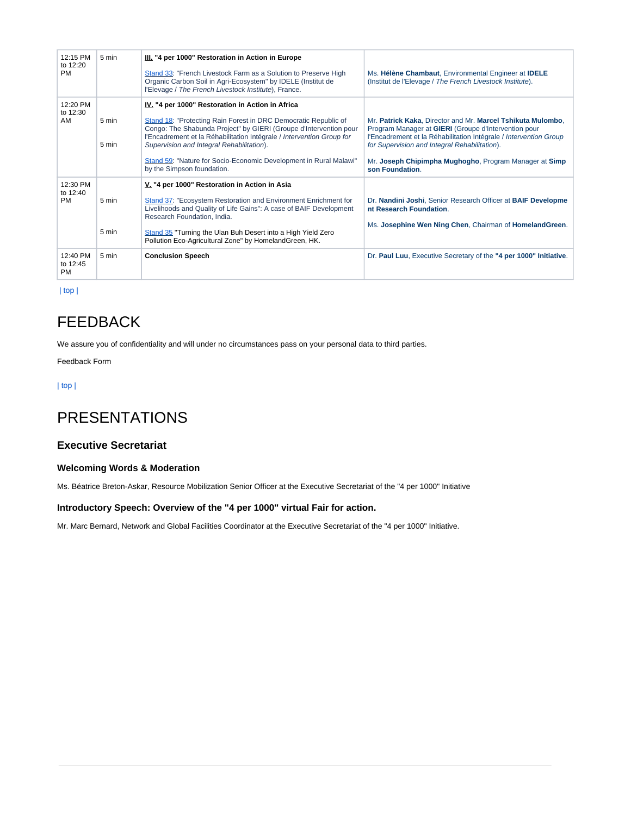| 12:15 PM<br>to 12:20<br><b>PM</b> | 5 min          | III. "4 per 1000" Restoration in Action in Europe<br>Stand 33: "French Livestock Farm as a Solution to Preserve High<br>Organic Carbon Soil in Agri-Ecosystem" by IDELE (Institut de<br>l'Elevage / The French Livestock Institute), France.                                                                                                                                                                      | Ms. Hélène Chambaut, Environmental Engineer at IDELE<br>(Institut de l'Elevage / The French Livestock Institute).                                                                                                                                                                                                      |
|-----------------------------------|----------------|-------------------------------------------------------------------------------------------------------------------------------------------------------------------------------------------------------------------------------------------------------------------------------------------------------------------------------------------------------------------------------------------------------------------|------------------------------------------------------------------------------------------------------------------------------------------------------------------------------------------------------------------------------------------------------------------------------------------------------------------------|
| 12:20 PM<br>to 12:30<br>AM        | 5 min<br>5 min | IV. "4 per 1000" Restoration in Action in Africa<br>Stand 18: "Protecting Rain Forest in DRC Democratic Republic of<br>Congo: The Shabunda Project" by GIERI (Groupe d'Intervention pour<br>l'Encadrement et la Réhabilitation Intégrale / Intervention Group for<br>Supervision and Integral Rehabilitation).<br>Stand 59: "Nature for Socio-Economic Development in Rural Malawi"<br>by the Simpson foundation. | Mr. Patrick Kaka, Director and Mr. Marcel Tshikuta Mulombo,<br>Program Manager at GIERI (Groupe d'Intervention pour<br>l'Encadrement et la Réhabilitation Intégrale / Intervention Group<br>for Supervision and Integral Rehabilitation).<br>Mr. Joseph Chipimpha Mughogho, Program Manager at Simp<br>son Foundation. |
| 12:30 PM<br>to 12:40<br><b>PM</b> | 5 min<br>5 min | V. "4 per 1000" Restoration in Action in Asia<br>Stand 37: "Ecosystem Restoration and Environment Enrichment for<br>Livelihoods and Quality of Life Gains": A case of BAIF Development<br>Research Foundation, India.<br>Stand 35 "Turning the Ulan Buh Desert into a High Yield Zero<br>Pollution Eco-Agricultural Zone" by HomelandGreen, HK.                                                                   | Dr. Nandini Joshi, Senior Research Officer at BAIF Developme<br>nt Research Foundation.<br>Ms. Josephine Wen Ning Chen, Chairman of HomelandGreen.                                                                                                                                                                     |
| 12:40 PM<br>to 12:45<br><b>PM</b> | 5 min          | <b>Conclusion Speech</b>                                                                                                                                                                                                                                                                                                                                                                                          | Dr. Paul Luu, Executive Secretary of the "4 per 1000" Initiative.                                                                                                                                                                                                                                                      |

 [| top |](#page-0-2)

## <span id="page-1-0"></span>FEEDBACK

We assure you of confidentiality and will under no circumstances pass on your personal data to third parties.

Feedback Form

#### [| top |](#page-0-2)

## <span id="page-1-1"></span>PRESENTATIONS

#### **Executive Secretariat**

#### **Welcoming Words & Moderation**

Ms. Béatrice Breton-Askar, Resource Mobilization Senior Officer at the Executive Secretariat of the "4 per 1000" Initiative

#### **Introductory Speech: Overview of the "4 per 1000" virtual Fair for action.**

Mr. Marc Bernard, Network and Global Facilities Coordinator at the Executive Secretariat of the "4 per 1000" Initiative.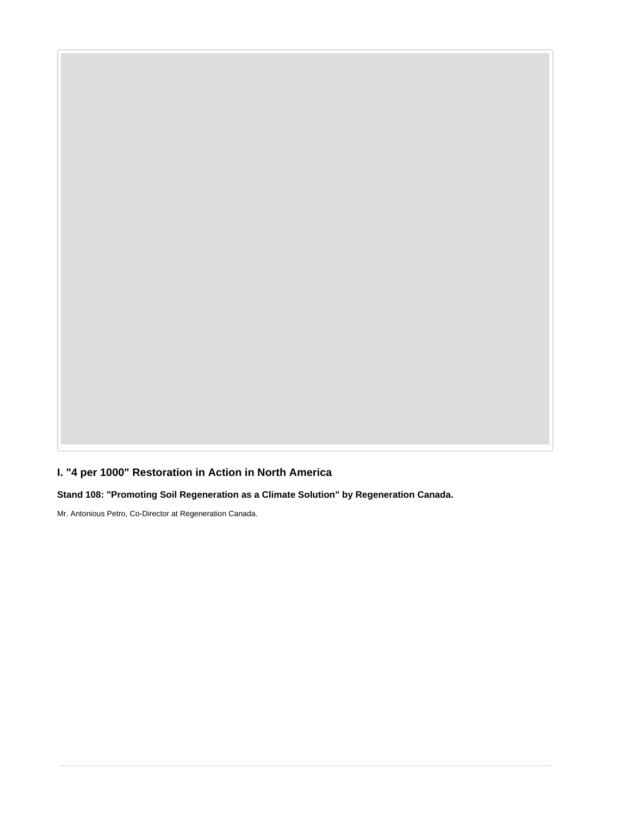**I. "4 per 1000" Restoration in Action in North America**

**Stand 108: "Promoting Soil Regeneration as a Climate Solution" by Regeneration Canada.**

Mr. Antonious Petro, Co-Director at Regeneration Canada.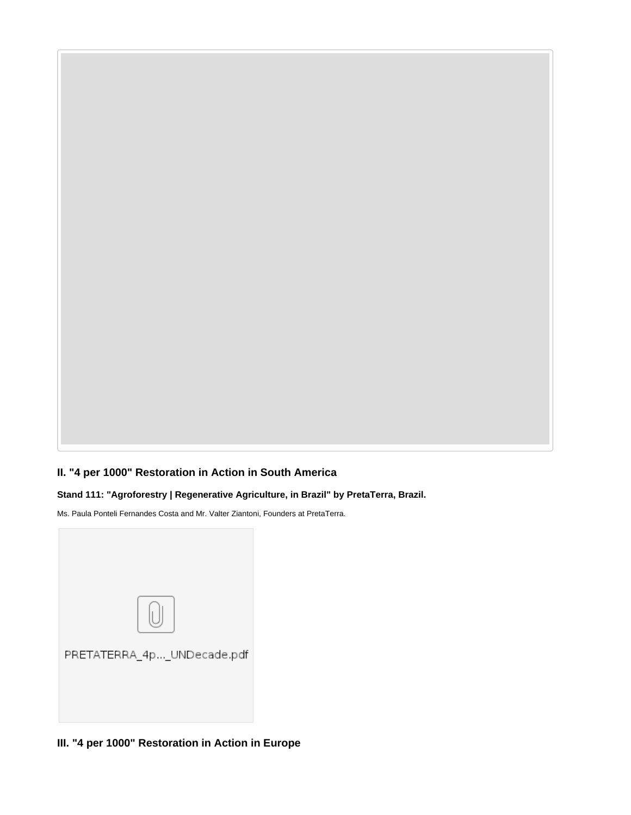## **II. "4 per 1000" Restoration in Action in South America**

#### **Stand 111: "Agroforestry | Regenerative Agriculture, in Brazil" by PretaTerra, Brazil.**

Ms. Paula Ponteli Fernandes Costa and Mr. Valter Ziantoni, Founders at PretaTerra.



**III. "4 per 1000" Restoration in Action in Europe**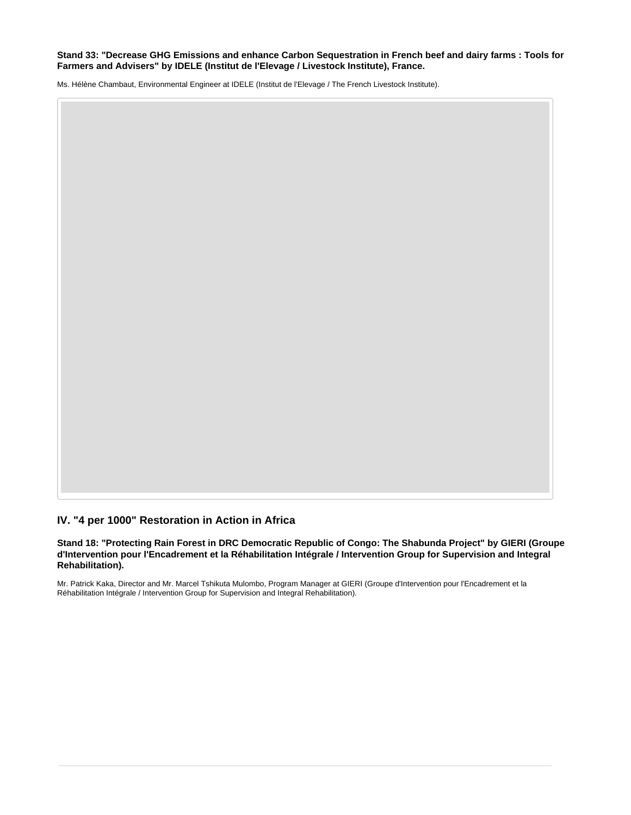#### **Stand 33: "Decrease GHG Emissions and enhance Carbon Sequestration in French beef and dairy farms : Tools for Farmers and Advisers" by IDELE (Institut de l'Elevage / Livestock Institute), France.**

Ms. Hélène Chambaut, Environmental Engineer at IDELE (Institut de l'Elevage / The French Livestock Institute).

#### **IV. "4 per 1000" Restoration in Action in Africa**

**Stand 18: "Protecting Rain Forest in DRC Democratic Republic of Congo: The Shabunda Project" by GIERI (Groupe d'Intervention pour l'Encadrement et la Réhabilitation Intégrale / Intervention Group for Supervision and Integral Rehabilitation).**

Mr. Patrick Kaka, Director and Mr. Marcel Tshikuta Mulombo, Program Manager at GIERI (Groupe d'Intervention pour l'Encadrement et la Réhabilitation Intégrale / Intervention Group for Supervision and Integral Rehabilitation).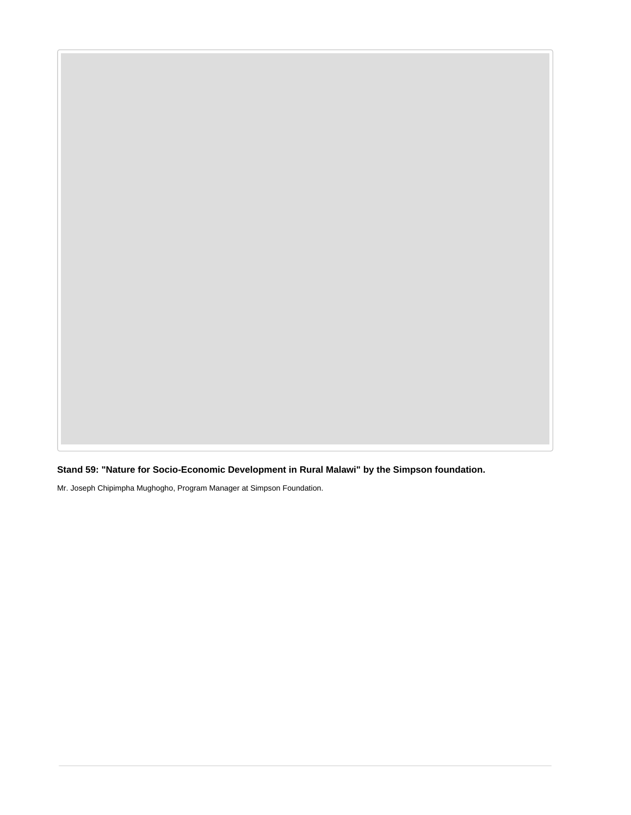**Stand 59: "Nature for Socio-Economic Development in Rural Malawi" by the Simpson foundation.**

Mr. Joseph Chipimpha Mughogho, Program Manager at Simpson Foundation.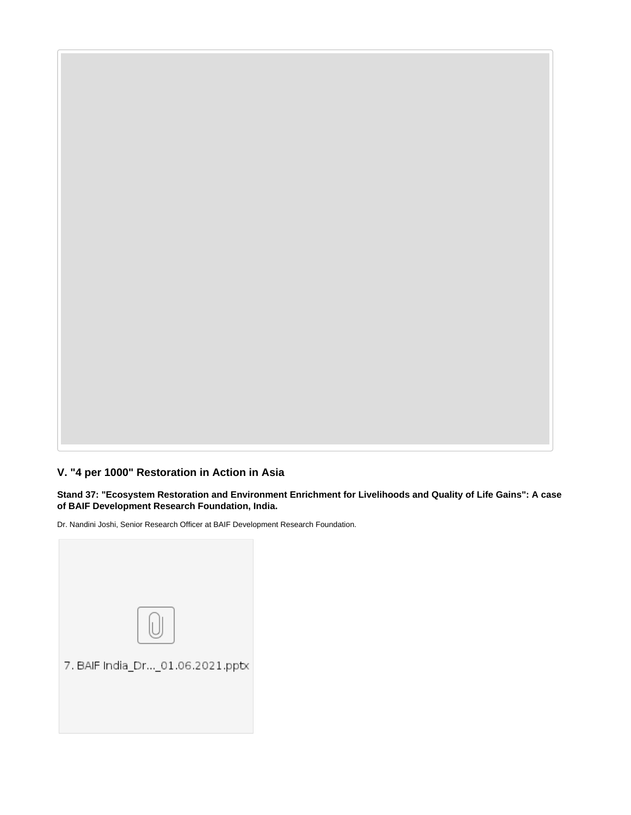### **V. "4 per 1000" Restoration in Action in Asia**

**Stand 37: "Ecosystem Restoration and Environment Enrichment for Livelihoods and Quality of Life Gains": A case of BAIF Development Research Foundation, India.**

Dr. Nandini Joshi, Senior Research Officer at BAIF Development Research Foundation.